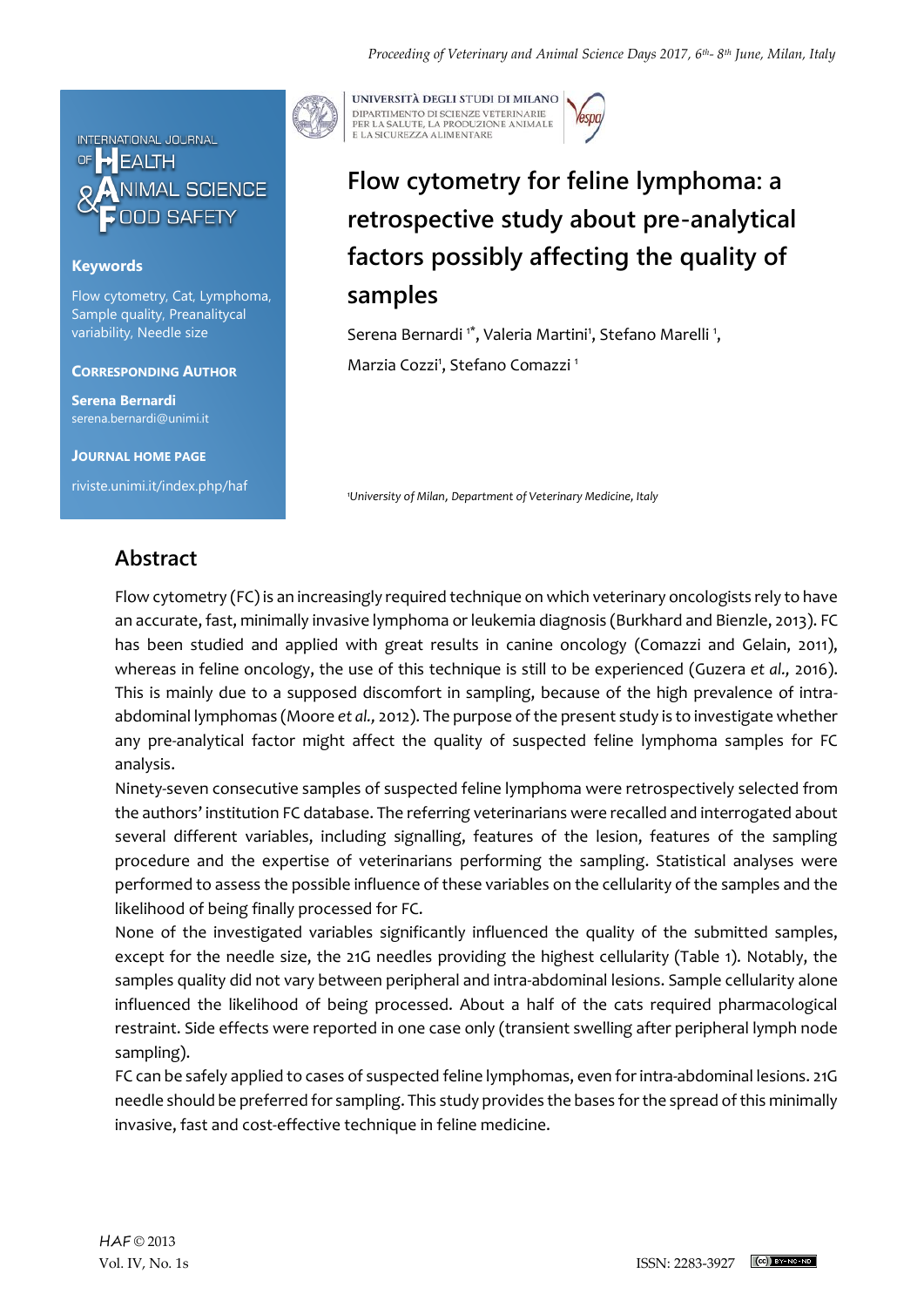

## **Keywords**

Flow cytometry, Cat, Lymphoma, Sample quality, Preanalitycal variability, Needle size

### **CORRESPONDING AUTHOR**

**Serena Bernardi** serena.bernardi@unimi.it

**JOURNAL HOME PAGE**

riviste.unimi.it/index.php/haf

UNIVERSITÀ DEGLI STUDI DI MILANO DIPARTIMENTO DI SCIENZE VETERINARIE PER LA SALUTE, LA PRODUZIONE ANIMALE<br>E LA SICUREZZA ALIMENTARE

# **Flow cytometry for feline lymphoma: a retrospective study about pre-analytical factors possibly affecting the quality of samples**

Serena Bernardi<sup>1\*</sup>, Valeria Martini<sup>1</sup>, Stefano Marelli<sup>1</sup>, Marzia Cozzi<sup>1</sup>, Stefano Comazzi<sup>1</sup>

*<sup>1</sup>University of Milan*, *Department of Veterinary Medicine, Italy* 

## **Abstract**

Flow cytometry (FC) is an increasingly required technique on which veterinary oncologists rely to have an accurate, fast, minimally invasive lymphoma or leukemia diagnosis (Burkhard and Bienzle, 2013). FC has been studied and applied with great results in canine oncology (Comazzi and Gelain, 2011), whereas in feline oncology, the use of this technique is still to be experienced (Guzera *et al.,* 2016). This is mainly due to a supposed discomfort in sampling, because of the high prevalence of intraabdominal lymphomas (Moore *et al.,* 2012). The purpose of the present study is to investigate whether any pre-analytical factor might affect the quality of suspected feline lymphoma samples for FC analysis.

Ninety-seven consecutive samples of suspected feline lymphoma were retrospectively selected from the authors' institution FC database. The referring veterinarians were recalled and interrogated about several different variables, including signalling, features of the lesion, features of the sampling procedure and the expertise of veterinarians performing the sampling. Statistical analyses were performed to assess the possible influence of these variables on the cellularity of the samples and the likelihood of being finally processed for FC.

None of the investigated variables significantly influenced the quality of the submitted samples, except for the needle size, the 21G needles providing the highest cellularity (Table 1). Notably, the samples quality did not vary between peripheral and intra-abdominal lesions. Sample cellularity alone influenced the likelihood of being processed. About a half of the cats required pharmacological restraint. Side effects were reported in one case only (transient swelling after peripheral lymph node sampling).

FC can be safely applied to cases of suspected feline lymphomas, even for intra-abdominal lesions. 21G needle should be preferred for sampling. This study provides the bases for the spread of this minimally invasive, fast and cost-effective technique in feline medicine.